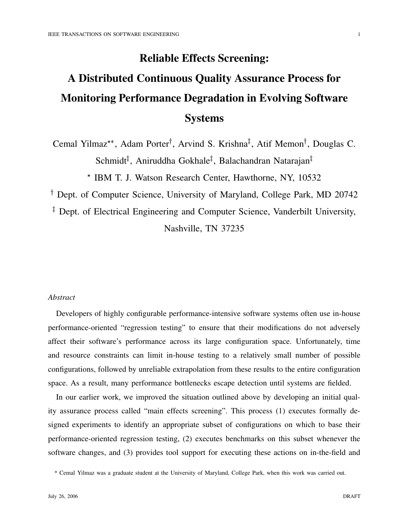## **Reliable Effects Screening:**

# **A Distributed Continuous Quality Assurance Process for Monitoring Performance Degradation in Evolving Software Systems**

Cemal Yilmaz<sup>\*\*</sup>, Adam Porter<sup>†</sup>, Arvind S. Krishna<sup>‡</sup>, Atif Memon<sup>†</sup>, Douglas C. Schmidt<sup>‡</sup>, Aniruddha Gokhale<sup>‡</sup>, Balachandran Natarajan<sup>‡</sup>

\* IBM T. J. Watson Research Center, Hawthorne, NY, 10532

Dept. of Computer Science, University of Maryland, College Park, MD 20742

<sup>‡</sup> Dept. of Electrical Engineering and Computer Science, Vanderbilt University, Nashville, TN 37235

## *Abstract*

Developers of highly configurable performance-intensive software systems often use in-house performance-oriented "regression testing" to ensure that their modifications do not adversely affect their software's performance across its large configuration space. Unfortunately, time and resource constraints can limit in-house testing to a relatively small number of possible configurations, followed by unreliable extrapolation from these results to the entire configuration space. As a result, many performance bottlenecks escape detection until systems are fielded.

In our earlier work, we improved the situation outlined above by developing an initial quality assurance process called "main effects screening". This process (1) executes formally designed experiments to identify an appropriate subset of configurations on which to base their performance-oriented regression testing, (2) executes benchmarks on this subset whenever the software changes, and (3) provides tool support for executing these actions on in-the-field and

<sup>\*</sup> Cemal Yilmaz was a graduate student at the University of Maryland, College Park, when this work was carried out.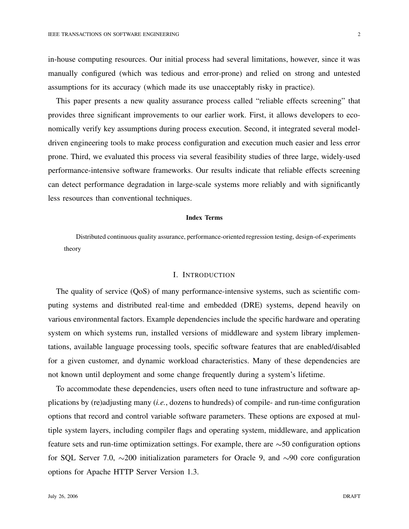in-house computing resources. Our initial process had several limitations, however, since it was manually configured (which was tedious and error-prone) and relied on strong and untested assumptions for its accuracy (which made its use unacceptably risky in practice).

This paper presents a new quality assurance process called "reliable effects screening" that provides three significant improvements to our earlier work. First, it allows developers to economically verify key assumptions during process execution. Second, it integrated several modeldriven engineering tools to make process configuration and execution much easier and less error prone. Third, we evaluated this process via several feasibility studies of three large, widely-used performance-intensive software frameworks. Our results indicate that reliable effects screening can detect performance degradation in large-scale systems more reliably and with significantly less resources than conventional techniques.

#### **Index Terms**

Distributed continuous quality assurance, performance-oriented regression testing, design-of-experiments theory

#### I. INTRODUCTION

The quality of service (QoS) of many performance-intensive systems, such as scientific computing systems and distributed real-time and embedded (DRE) systems, depend heavily on various environmental factors. Example dependencies include the specific hardware and operating system on which systems run, installed versions of middleware and system library implementations, available language processing tools, specific software features that are enabled/disabled for a given customer, and dynamic workload characteristics. Many of these dependencies are not known until deployment and some change frequently during a system's lifetime.

To accommodate these dependencies, users often need to tune infrastructure and software applications by (re)adjusting many (*i.e.*, dozens to hundreds) of compile- and run-time configuration options that record and control variable software parameters. These options are exposed at multiple system layers, including compiler flags and operating system, middleware, and application feature sets and run-time optimization settings. For example, there are  $\sim$  50 configuration options for SQL Server 7.0,  $\sim$ 200 initialization parameters for Oracle 9, and  $\sim$ 90 core configuration options for Apache HTTP Server Version 1.3.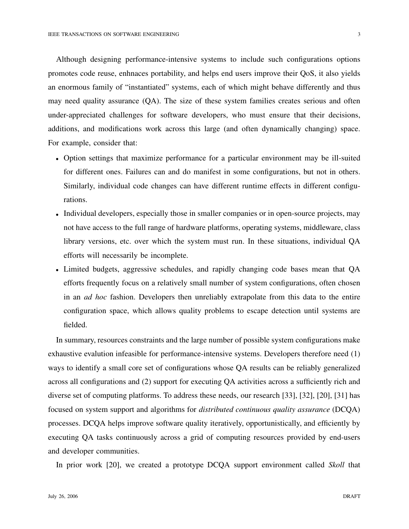Although designing performance-intensive systems to include such configurations options promotes code reuse, enhnaces portability, and helps end users improve their QoS, it also yields an enormous family of "instantiated" systems, each of which might behave differently and thus may need quality assurance (QA). The size of these system families creates serious and often under-appreciated challenges for software developers, who must ensure that their decisions, additions, and modifications work across this large (and often dynamically changing) space. For example, consider that:

- Option settings that maximize performance for a particular environment may be ill-suited for different ones. Failures can and do manifest in some configurations, but not in others. Similarly, individual code changes can have different runtime effects in different configurations.
- Individual developers, especially those in smaller companies or in open-source projects, may not have access to the full range of hardware platforms, operating systems, middleware, class library versions, etc. over which the system must run. In these situations, individual QA efforts will necessarily be incomplete.
- Limited budgets, aggressive schedules, and rapidly changing code bases mean that QA efforts frequently focus on a relatively small number of system configurations, often chosen in an *ad hoc* fashion. Developers then unreliably extrapolate from this data to the entire configuration space, which allows quality problems to escape detection until systems are fielded.

In summary, resources constraints and the large number of possible system configurations make exhaustive evalution infeasible for performance-intensive systems. Developers therefore need (1) ways to identify a small core set of configurations whose QA results can be reliably generalized across all configurations and (2) support for executing QA activities across a sufficiently rich and diverse set of computing platforms. To address these needs, our research [33], [32], [20], [31] has focused on system support and algorithms for *distributed continuous quality assurance* (DCQA) processes. DCQA helps improve software quality iteratively, opportunistically, and efficiently by executing QA tasks continuously across a grid of computing resources provided by end-users and developer communities.

In prior work [20], we created a prototype DCQA support environment called *Skoll* that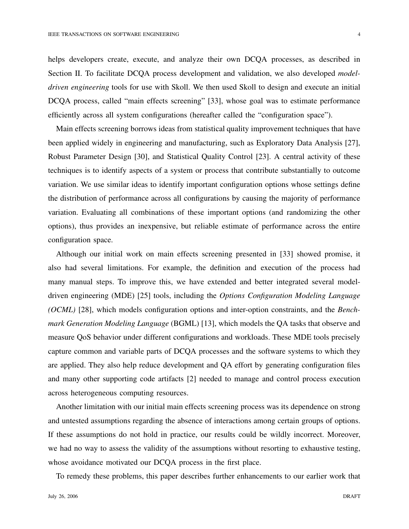helps developers create, execute, and analyze their own DCQA processes, as described in Section II. To facilitate DCQA process development and validation, we also developed *modeldriven engineering* tools for use with Skoll. We then used Skoll to design and execute an initial DCQA process, called "main effects screening" [33], whose goal was to estimate performance efficiently across all system configurations (hereafter called the "configuration space").

Main effects screening borrows ideas from statistical quality improvement techniques that have been applied widely in engineering and manufacturing, such as Exploratory Data Analysis [27], Robust Parameter Design [30], and Statistical Quality Control [23]. A central activity of these techniques is to identify aspects of a system or process that contribute substantially to outcome variation. We use similar ideas to identify important configuration options whose settings define the distribution of performance across all configurations by causing the majority of performance variation. Evaluating all combinations of these important options (and randomizing the other options), thus provides an inexpensive, but reliable estimate of performance across the entire configuration space.

Although our initial work on main effects screening presented in [33] showed promise, it also had several limitations. For example, the definition and execution of the process had many manual steps. To improve this, we have extended and better integrated several modeldriven engineering (MDE) [25] tools, including the *Options Configuration Modeling Language (OCML)* [28], which models configuration options and inter-option constraints, and the *Benchmark Generation Modeling Language* (BGML) [13], which models the QA tasks that observe and measure QoS behavior under different configurations and workloads. These MDE tools precisely capture common and variable parts of DCQA processes and the software systems to which they are applied. They also help reduce development and QA effort by generating configuration files and many other supporting code artifacts [2] needed to manage and control process execution across heterogeneous computing resources.

Another limitation with our initial main effects screening process was its dependence on strong and untested assumptions regarding the absence of interactions among certain groups of options. If these assumptions do not hold in practice, our results could be wildly incorrect. Moreover, we had no way to assess the validity of the assumptions without resorting to exhaustive testing, whose avoidance motivated our DCQA process in the first place.

To remedy these problems, this paper describes further enhancements to our earlier work that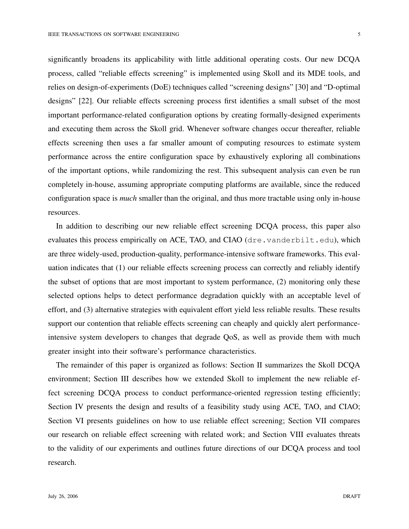significantly broadens its applicability with little additional operating costs. Our new DCQA process, called "reliable effects screening" is implemented using Skoll and its MDE tools, and relies on design-of-experiments (DoE) techniques called "screening designs" [30] and "D-optimal designs" [22]. Our reliable effects screening process first identifies a small subset of the most important performance-related configuration options by creating formally-designed experiments and executing them across the Skoll grid. Whenever software changes occur thereafter, reliable effects screening then uses a far smaller amount of computing resources to estimate system performance across the entire configuration space by exhaustively exploring all combinations of the important options, while randomizing the rest. This subsequent analysis can even be run completely in-house, assuming appropriate computing platforms are available, since the reduced configuration space is *much* smaller than the original, and thus more tractable using only in-house resources.

In addition to describing our new reliable effect screening DCQA process, this paper also evaluates this process empirically on ACE, TAO, and CIAO (dre.vanderbilt.edu), which are three widely-used, production-quality, performance-intensive software frameworks. This evaluation indicates that (1) our reliable effects screening process can correctly and reliably identify the subset of options that are most important to system performance, (2) monitoring only these selected options helps to detect performance degradation quickly with an acceptable level of effort, and (3) alternative strategies with equivalent effort yield less reliable results. These results support our contention that reliable effects screening can cheaply and quickly alert performanceintensive system developers to changes that degrade QoS, as well as provide them with much greater insight into their software's performance characteristics.

The remainder of this paper is organized as follows: Section II summarizes the Skoll DCQA environment; Section III describes how we extended Skoll to implement the new reliable effect screening DCQA process to conduct performance-oriented regression testing efficiently; Section IV presents the design and results of a feasibility study using ACE, TAO, and CIAO; Section VI presents guidelines on how to use reliable effect screening; Section VII compares our research on reliable effect screening with related work; and Section VIII evaluates threats to the validity of our experiments and outlines future directions of our DCQA process and tool research.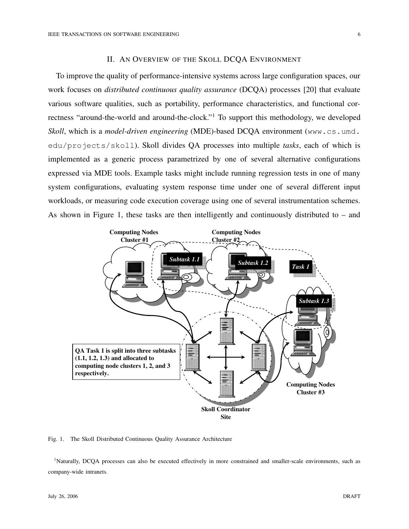#### II. AN OVERVIEW OF THE SKOLL DCQA ENVIRONMENT

To improve the quality of performance-intensive systems across large configuration spaces, our work focuses on *distributed continuous quality assurance* (DCQA) processes [20] that evaluate various software qualities, such as portability, performance characteristics, and functional correctness "around-the-world and around-the-clock." <sup>1</sup> To support this methodology, we developed *Skoll*, which is a *model-driven engineering* (MDE)-based DCQA environment (www.cs.umd. edu/projects/skoll). Skoll divides QA processes into multiple *tasks*, each of which is implemented as a generic process parametrized by one of several alternative configurations expressed via MDE tools. Example tasks might include running regression tests in one of many system configurations, evaluating system response time under one of several different input workloads, or measuring code execution coverage using one of several instrumentation schemes. As shown in Figure 1, these tasks are then intelligently and continuously distributed to – and



Fig. 1. The Skoll Distributed Continuous Quality Assurance Architecture

<sup>1</sup>Naturally, DCQA processes can also be executed effectively in more constrained and smaller-scale environments, such as company-wide intranets.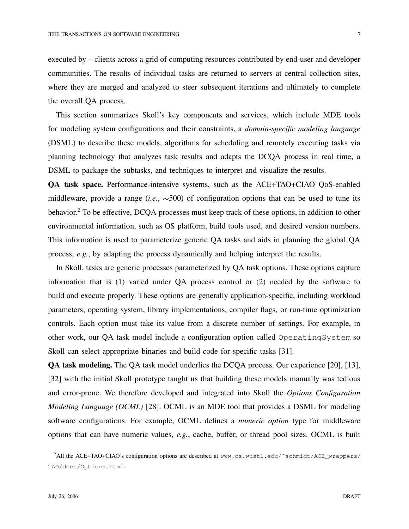executed by – clients across a grid of computing resources contributed by end-user and developer communities. The results of individual tasks are returned to servers at central collection sites, where they are merged and analyzed to steer subsequent iterations and ultimately to complete the overall QA process.

This section summarizes Skoll's key components and services, which include MDE tools for modeling system configurations and their constraints, a *domain-specific modeling language* (DSML) to describe these models, algorithms for scheduling and remotely executing tasks via planning technology that analyzes task results and adapts the DCQA process in real time, a DSML to package the subtasks, and techniques to interpret and visualize the results.

**QA task space.** Performance-intensive systems, such as the ACE+TAO+CIAO QoS-enabled middleware, provide a range  $(i.e., \sim 500)$  of configuration options that can be used to tune its behavior.<sup>2</sup> To be effective, DCQA processes must keep track of these options, in addition to other environmental information, such as OS platform, build tools used, and desired version numbers. This information is used to parameterize generic QA tasks and aids in planning the global QA process, *e.g.*, by adapting the process dynamically and helping interpret the results.

In Skoll, tasks are generic processes parameterized by QA task options. These options capture information that is (1) varied under QA process control or (2) needed by the software to build and execute properly. These options are generally application-specific, including workload parameters, operating system, library implementations, compiler flags, or run-time optimization controls. Each option must take its value from a discrete number of settings. For example, in other work, our QA task model include a configuration option called OperatingSystem so Skoll can select appropriate binaries and build code for specific tasks [31].

**QA task modeling.** The QA task model underlies the DCQA process. Our experience [20], [13], [32] with the initial Skoll prototype taught us that building these models manually was tedious and error-prone. We therefore developed and integrated into Skoll the *Options Configuration Modeling Language (OCML)* [28]. OCML is an MDE tool that provides a DSML for modeling software configurations. For example, OCML defines a *numeric option* type for middleware options that can have numeric values, *e.g.*, cache, buffer, or thread pool sizes. OCML is built

<sup>&</sup>lt;sup>2</sup>All the ACE+TAO+CIAO's configuration options are described at www.cs.wustl.edu/~schmidt/ACE\_wrappers/ TAO/docs/Options.html.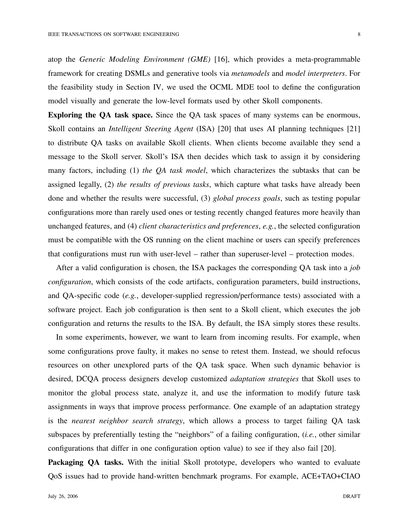atop the *Generic Modeling Environment (GME)* [16], which provides a meta-programmable framework for creating DSMLs and generative tools via *metamodels* and *model interpreters*. For the feasibility study in Section IV, we used the OCML MDE tool to define the configuration model visually and generate the low-level formats used by other Skoll components.

**Exploring the QA task space.** Since the QA task spaces of many systems can be enormous, Skoll contains an *Intelligent Steering Agent* (ISA) [20] that uses AI planning techniques [21] to distribute QA tasks on available Skoll clients. When clients become available they send a message to the Skoll server. Skoll's ISA then decides which task to assign it by considering many factors, including (1) *the QA task model*, which characterizes the subtasks that can be assigned legally, (2) *the results of previous tasks*, which capture what tasks have already been done and whether the results were successful, (3) *global process goals*, such as testing popular configurations more than rarely used ones or testing recently changed features more heavily than unchanged features, and (4) *client characteristics and preferences*, *e.g.*, the selected configuration must be compatible with the OS running on the client machine or users can specify preferences that configurations must run with user-level – rather than superuser-level – protection modes.

After a valid configuration is chosen, the ISA packages the corresponding QA task into a *job configuration*, which consists of the code artifacts, configuration parameters, build instructions, and QA-specific code (*e.g.*, developer-supplied regression/performance tests) associated with a software project. Each job configuration is then sent to a Skoll client, which executes the job configuration and returns the results to the ISA. By default, the ISA simply stores these results.

In some experiments, however, we want to learn from incoming results. For example, when some configurations prove faulty, it makes no sense to retest them. Instead, we should refocus resources on other unexplored parts of the QA task space. When such dynamic behavior is desired, DCQA process designers develop customized *adaptation strategies* that Skoll uses to monitor the global process state, analyze it, and use the information to modify future task assignments in ways that improve process performance. One example of an adaptation strategy is the *nearest neighbor search strategy*, which allows a process to target failing QA task subspaces by preferentially testing the "neighbors" of a failing configuration, (*i.e.*, other similar configurations that differ in one configuration option value) to see if they also fail [20].

**Packaging QA tasks.** With the initial Skoll prototype, developers who wanted to evaluate QoS issues had to provide hand-written benchmark programs. For example, ACE+TAO+CIAO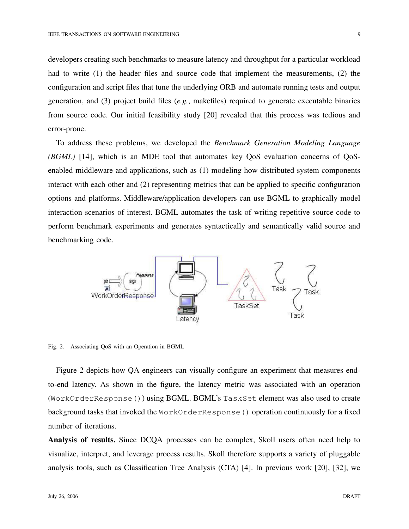developers creating such benchmarks to measure latency and throughput for a particular workload had to write (1) the header files and source code that implement the measurements, (2) the configuration and script files that tune the underlying ORB and automate running tests and output generation, and (3) project build files (*e.g.*, makefiles) required to generate executable binaries from source code. Our initial feasibility study [20] revealed that this process was tedious and error-prone.

To address these problems, we developed the *Benchmark Generation Modeling Language (BGML)* [14], which is an MDE tool that automates key QoS evaluation concerns of QoSenabled middleware and applications, such as (1) modeling how distributed system components interact with each other and (2) representing metrics that can be applied to specific configuration options and platforms. Middleware/application developers can use BGML to graphically model interaction scenarios of interest. BGML automates the task of writing repetitive source code to perform benchmark experiments and generates syntactically and semantically valid source and benchmarking code.



Fig. 2. Associating QoS with an Operation in BGML

Figure 2 depicts how QA engineers can visually configure an experiment that measures endto-end latency. As shown in the figure, the latency metric was associated with an operation (WorkOrderResponse()) using BGML. BGML's TaskSet element was also used to create background tasks that invoked the WorkOrderResponse() operation continuously for a fixed number of iterations.

**Analysis of results.** Since DCQA processes can be complex, Skoll users often need help to visualize, interpret, and leverage process results. Skoll therefore supports a variety of pluggable analysis tools, such as Classification Tree Analysis (CTA) [4]. In previous work [20], [32], we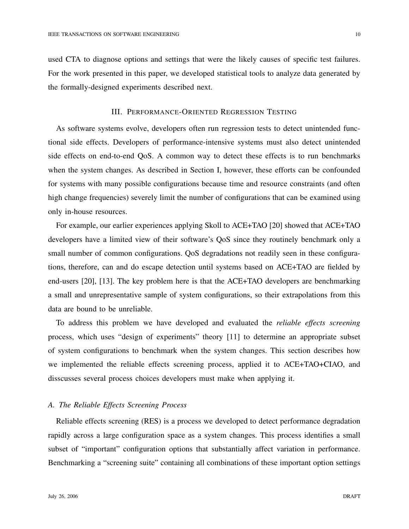used CTA to diagnose options and settings that were the likely causes of specific test failures. For the work presented in this paper, we developed statistical tools to analyze data generated by the formally-designed experiments described next.

## III. PERFORMANCE-ORIENTED REGRESSION TESTING

As software systems evolve, developers often run regression tests to detect unintended functional side effects. Developers of performance-intensive systems must also detect unintended side effects on end-to-end QoS. A common way to detect these effects is to run benchmarks when the system changes. As described in Section I, however, these efforts can be confounded for systems with many possible configurations because time and resource constraints (and often high change frequencies) severely limit the number of configurations that can be examined using only in-house resources.

For example, our earlier experiences applying Skoll to ACE+TAO [20] showed that ACE+TAO developers have a limited view of their software's QoS since they routinely benchmark only a small number of common configurations. QoS degradations not readily seen in these configurations, therefore, can and do escape detection until systems based on ACE+TAO are fielded by end-users [20], [13]. The key problem here is that the ACE+TAO developers are benchmarking a small and unrepresentative sample of system configurations, so their extrapolations from this data are bound to be unreliable.

To address this problem we have developed and evaluated the *reliable effects screening* process, which uses "design of experiments" theory [11] to determine an appropriate subset of system configurations to benchmark when the system changes. This section describes how we implemented the reliable effects screening process, applied it to ACE+TAO+CIAO, and disscusses several process choices developers must make when applying it.

## *A. The Reliable Effects Screening Process*

Reliable effects screening (RES) is a process we developed to detect performance degradation rapidly across a large configuration space as a system changes. This process identifies a small subset of "important" configuration options that substantially affect variation in performance. Benchmarking a "screening suite" containing all combinations of these important option settings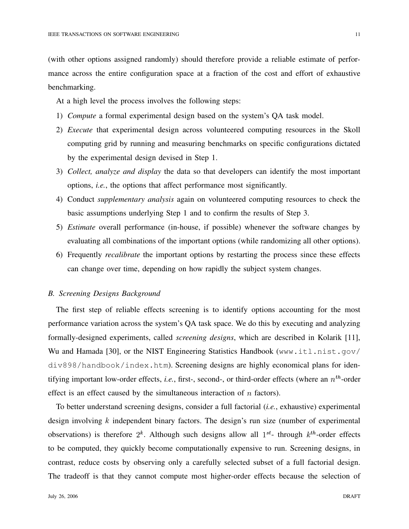(with other options assigned randomly) should therefore provide a reliable estimate of performance across the entire configuration space at a fraction of the cost and effort of exhaustive benchmarking.

At a high level the process involves the following steps:

- 1) *Compute* a formal experimental design based on the system's QA task model.
- 2) *Execute* that experimental design across volunteered computing resources in the Skoll computing grid by running and measuring benchmarks on specific configurations dictated by the experimental design devised in Step 1.
- 3) *Collect, analyze and display* the data so that developers can identify the most important options, *i.e.*, the options that affect performance most significantly.
- 4) Conduct *supplementary analysis* again on volunteered computing resources to check the basic assumptions underlying Step 1 and to confirm the results of Step 3.
- 5) *Estimate* overall performance (in-house, if possible) whenever the software changes by evaluating all combinations of the important options (while randomizing all other options).
- 6) Frequently *recalibrate* the important options by restarting the process since these effects can change over time, depending on how rapidly the subject system changes.

## *B. Screening Designs Background*

The first step of reliable effects screening is to identify options accounting for the most performance variation across the system's QA task space. We do this by executing and analyzing formally-designed experiments, called *screening designs*, which are described in Kolarik [11], Wu and Hamada [30], or the NIST Engineering Statistics Handbook (www.itl.nist.gov/ div898/handbook/index.htm). Screening designs are highly economical plans for identifying important low-order effects, *i.e.*, first-, second-, or third-order effects (where an  $n^{th}$ -order effect is an effect caused by the simultaneous interaction of  $n$  factors).

To better understand screening designs, consider a full factorial (*i.e.*, exhaustive) experimental design involving  $k$  independent binary factors. The design's run size (number of experimental observations) is therefore  $2^k$ . Although such designs allow all  $1^{st}$ - through  $k^{th}$ -order effects to be computed, they quickly become computationally expensive to run. Screening designs, in contrast, reduce costs by observing only a carefully selected subset of a full factorial design. The tradeoff is that they cannot compute most higher-order effects because the selection of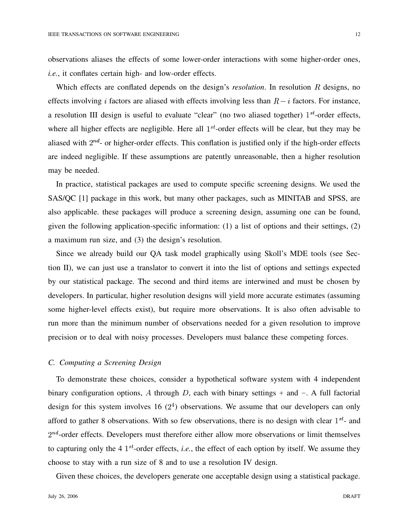observations aliases the effects of some lower-order interactions with some higher-order ones, *i.e.*, it conflates certain high- and low-order effects.

Which effects are conflated depends on the design's *resolution*. In resolution  $R$  designs, no effects involving *i* factors are aliased with effects involving less than  $R - i$  factors. For instance, a resolution III design is useful to evaluate "clear" (no two aliased together)  $1^{st}$ -order effects, where all higher effects are negligible. Here all  $1<sup>st</sup>$ -order effects will be clear, but they may be aliased with  $2^{nd}$ - or higher-order effects. This conflation is justified only if the high-order effects are indeed negligible. If these assumptions are patently unreasonable, then a higher resolution may be needed.

In practice, statistical packages are used to compute specific screening designs. We used the SAS/QC [1] package in this work, but many other packages, such as MINITAB and SPSS, are also applicable. these packages will produce a screening design, assuming one can be found, given the following application-specific information: (1) a list of options and their settings, (2) a maximum run size, and (3) the design's resolution.

Since we already build our QA task model graphically using Skoll's MDE tools (see Section II), we can just use a translator to convert it into the list of options and settings expected by our statistical package. The second and third items are interwined and must be chosen by developers. In particular, higher resolution designs will yield more accurate estimates (assuming some higher-level effects exist), but require more observations. It is also often advisable to run more than the minimum number of observations needed for a given resolution to improve precision or to deal with noisy processes. Developers must balance these competing forces.

## *C. Computing a Screening Design*

To demonstrate these choices, consider a hypothetical software system with 4 independent binary configuration options, A through D, each with binary settings + and  $-$ . A full factorial design for this system involves 16  $(2<sup>4</sup>)$  observations. We assume that our developers can only afford to gather 8 observations. With so few observations, there is no design with clear  $1^{st}$ - and  $2^{nd}$ -order effects. Developers must therefore either allow more observations or limit themselves to capturing only the 4  $1^{st}$ -order effects, *i.e.*, the effect of each option by itself. We assume they choose to stay with a run size of 8 and to use a resolution IV design.

Given these choices, the developers generate one acceptable design using a statistical package.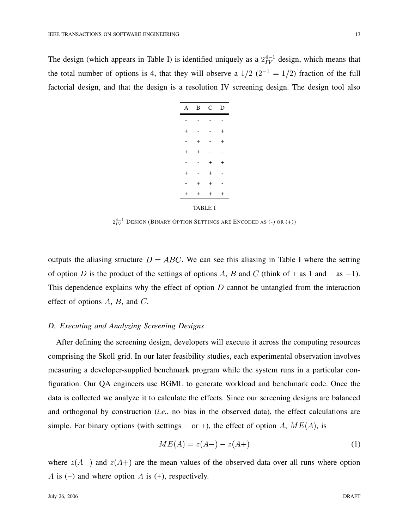The design (which appears in Table I) is identified uniquely as a  $2^{4-1}_{IV}$  design, which means that the total number of options is 4, that they will observe a  $1/2$   $(2^{-1} = 1/2)$  fraction of the full factorial design, and that the design is a resolution IV screening design. The design tool also

| A              | B              | C              | D         |  |
|----------------|----------------|----------------|-----------|--|
|                |                |                |           |  |
| $\overline{+}$ |                |                | $\,{}^+$  |  |
|                | $\ddot{}$      |                | $\ddot{}$ |  |
| $\ddot{}$      | $\ddot{}$      |                |           |  |
|                |                | $\overline{+}$ | $\ddot{}$ |  |
| $\overline{+}$ |                | $\overline{+}$ |           |  |
|                | $\overline{+}$ | $^{+}$         |           |  |
| $\overline{+}$ | $\overline{+}$ | $\ddot{}$      | $\ddot{}$ |  |
| <b>TABLE I</b> |                |                |           |  |

 $2^{4-1}_{IV}$  Design (Binary Option Settings are Encoded as (-) or (+))

outputs the aliasing structure  $D = ABC$ . We can see this aliasing in Table I where the setting of option D is the product of the settings of options A, B and C (think of + as 1 and - as -1). This dependence explains why the effect of option  $D$  cannot be untangled from the interaction effect of options  $A$ ,  $B$ , and  $C$ .

## *D. Executing and Analyzing Screening Designs*

After defining the screening design, developers will execute it across the computing resources comprising the Skoll grid. In our later feasibility studies, each experimental observation involves measuring a developer-supplied benchmark program while the system runs in a particular configuration. Our QA engineers use BGML to generate workload and benchmark code. Once the data is collected we analyze it to calculate the effects. Since our screening designs are balanced and orthogonal by construction (*i.e.*, no bias in the observed data), the effect calculations are simple. For binary options (with settings - or +), the effect of option A,  $ME(A)$ , is

$$
ME(A) = z(A-) - z(A+) \tag{1}
$$

where  $z(A-)$  and  $z(A+)$  are the mean values of the observed data over all runs where option A is (-) and where option A is (+), respectively.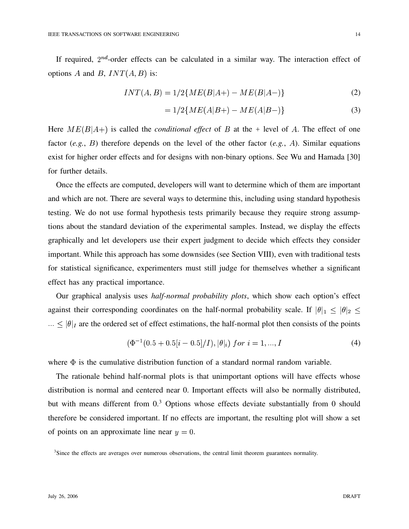If required,  $2^{nd}$ -order effects can be calculated in a similar way. The interaction effect of options A and B,  $INT(A, B)$  is:

$$
INT(A, B) = 1/2\{ME(B|A+) - ME(B|A-)\}\tag{2}
$$

$$
= 1/2\{ME(A|B+) - ME(A|B-)\}\tag{3}
$$

Here  $ME(B|A+)$  is called the *conditional effect* of B at the + level of A. The effect of one factor  $(e.g., B)$  therefore depends on the level of the other factor  $(e.g., A)$ . Similar equations exist for higher order effects and for designs with non-binary options. See Wu and Hamada [30] for further details.

Once the effects are computed, developers will want to determine which of them are important and which are not. There are several ways to determine this, including using standard hypothesis testing. We do not use formal hypothesis tests primarily because they require strong assumptions about the standard deviation of the experimental samples. Instead, we display the effects graphically and let developers use their expert judgment to decide which effects they consider important. While this approach has some downsides (see Section VIII), even with traditional tests for statistical significance, experimenters must still judge for themselves whether a significant effect has any practical importance.

Our graphical analysis uses *half-normal probability plots*, which show each option's effect against their corresponding coordinates on the half-normal probability scale. If  $|\theta|_1 \leq |\theta|_2 \leq$  $\ldots \le |\theta|_I$  are the ordered set of effect estimations, the half-normal plot then consists of the points

$$
(\Phi^{-1}(0.5 + 0.5[i - 0.5]/I), |\theta|_i) \ for \ i = 1, ..., I
$$
\n(4)

where  $\Phi$  is the cumulative distribution function of a standard normal random variable.

The rationale behind half-normal plots is that unimportant options will have effects whose distribution is normal and centered near 0. Important effects will also be normally distributed, but with means different from 0.<sup>3</sup> Options whose effects deviate substantially from 0 should therefore be considered important. If no effects are important, the resulting plot will show a set of points on an approximate line near  $y = 0$ .

<sup>3</sup>Since the effects are averages over numerous observations, the central limit theorem guarantees normality.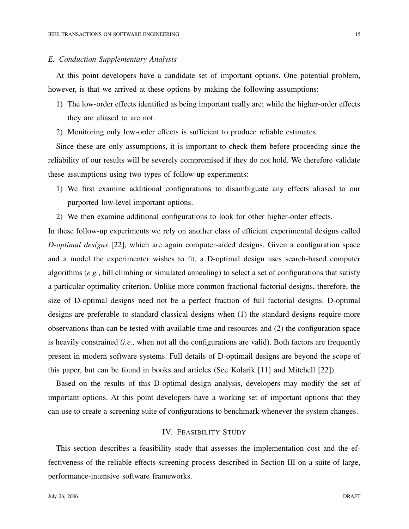#### *E. Conduction Supplementary Analysis*

At this point developers have a candidate set of important options. One potential problem, however, is that we arrived at these options by making the following assumptions:

- 1) The low-order effects identified as being important really are; while the higher-order effects they are aliased to are not.
- 2) Monitoring only low-order effects is sufficient to produce reliable estimates.

Since these are only assumptions, it is important to check them before proceeding since the reliability of our results will be severely compromised if they do not hold. We therefore validate these assumptions using two types of follow-up experiments:

- 1) We first examine additional configurations to disambiguate any effects aliased to our purported low-level important options.
- 2) We then examine additional configurations to look for other higher-order effects.

In these follow-up experiments we rely on another class of efficient experimental designs called *D-optimal designs* [22], which are again computer-aided designs. Given a configuration space and a model the experimenter wishes to fit, a D-optimal design uses search-based computer algorithms (*e.g.*, hill climbing or simulated annealing) to select a set of configurations that satisfy a particular optimality criterion. Unlike more common fractional factorial designs, therefore, the size of D-optimal designs need not be a perfect fraction of full factorial designs. D-optimal designs are preferable to standard classical designs when (1) the standard designs require more observations than can be tested with available time and resources and (2) the configuration space is heavily constrained (*i.e.,* when not all the configurations are valid). Both factors are frequently present in modern software systems. Full details of D-optimail designs are beyond the scope of this paper, but can be found in books and articles (See Kolarik [11] and Mitchell [22]).

Based on the results of this D-optimal design analysis, developers may modify the set of important options. At this point developers have a working set of important options that they can use to create a screening suite of configurations to benchmark whenever the system changes.

#### IV. FEASIBILITY STUDY

This section describes a feasibility study that assesses the implementation cost and the effectiveness of the reliable effects screening process described in Section III on a suite of large, performance-intensive software frameworks.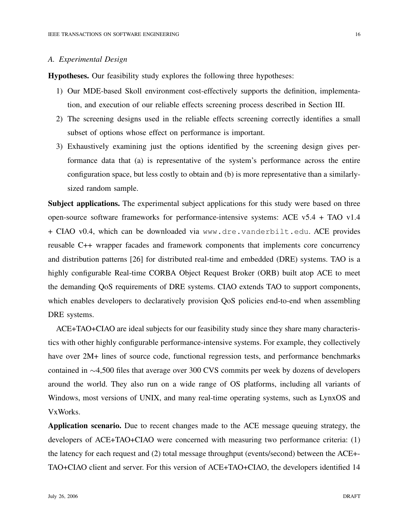#### *A. Experimental Design*

**Hypotheses.** Our feasibility study explores the following three hypotheses:

- 1) Our MDE-based Skoll environment cost-effectively supports the definition, implementation, and execution of our reliable effects screening process described in Section III.
- 2) The screening designs used in the reliable effects screening correctly identifies a small subset of options whose effect on performance is important.
- 3) Exhaustively examining just the options identified by the screening design gives performance data that (a) is representative of the system's performance across the entire configuration space, but less costly to obtain and (b) is more representative than a similarlysized random sample.

**Subject applications.** The experimental subject applications for this study were based on three open-source software frameworks for performance-intensive systems: ACE v5.4 + TAO v1.4 + CIAO v0.4, which can be downloaded via www.dre.vanderbilt.edu. ACE provides reusable C++ wrapper facades and framework components that implements core concurrency and distribution patterns [26] for distributed real-time and embedded (DRE) systems. TAO is a highly configurable Real-time CORBA Object Request Broker (ORB) built atop ACE to meet the demanding QoS requirements of DRE systems. CIAO extends TAO to support components, which enables developers to declaratively provision QoS policies end-to-end when assembling DRE systems.

ACE+TAO+CIAO are ideal subjects for our feasibility study since they share many characteristics with other highly configurable performance-intensive systems. For example, they collectively have over  $2M+$  lines of source code, functional regression tests, and performance benchmarks contained in  $\sim$ 4,500 files that average over 300 CVS commits per week by dozens of developers around the world. They also run on a wide range of OS platforms, including all variants of Windows, most versions of UNIX, and many real-time operating systems, such as LynxOS and VxWorks.

**Application scenario.** Due to recent changes made to the ACE message queuing strategy, the developers of ACE+TAO+CIAO were concerned with measuring two performance criteria: (1) the latency for each request and (2) total message throughput (events/second) between the ACE+- TAO+CIAO client and server. For this version of ACE+TAO+CIAO, the developers identified 14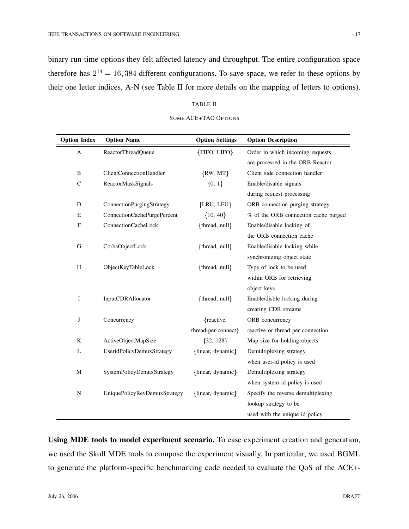binary run-time options they felt affected latency and throughput. The entire configuration space therefore has  $2^{14} = 16,384$  different configurations. To save space, we refer to these options by their one letter indices, A-N (see Table II for more details on the mapping of letters to options).

#### TABLE II

| <b>Option Index</b> | <b>Option Name</b>             | <b>Option Settings</b> | <b>Option Description</b>            |
|---------------------|--------------------------------|------------------------|--------------------------------------|
| A                   | ReactorThreadQueue             | {FIFO, LIFO}           | Order in which incoming requests     |
|                     |                                |                        | are processed in the ORB Reactor     |
| $\, {\bf B}$        | <b>ClientConnectionHandler</b> | $\{RW, MT\}$           | Client side connection handler       |
| $\mathsf{C}$        | ReactorMaskSignals             | ${0, 1}$               | Enable/disable signals               |
|                     |                                |                        | during request processing            |
| D                   | ConnectionPurgingStrategy      | {LRU, LFU}             | ORB connection purging strategy      |
| Ε                   | ConnectionCachePurgePercent    | ${10, 40}$             | % of the ORB connection cache purged |
| F                   | <b>ConnectionCacheLock</b>     | {thread, null}         | Enable/disable locking of            |
|                     |                                |                        | the ORB connection cache             |
| $\mathbf G$         | CorbaObjectLock                | {thread, null}         | Enable/disable locking while         |
|                     |                                |                        | synchronizing object state           |
| H                   | ObjectKeyTableLock             | {thread, null}         | Type of lock to be used              |
|                     |                                |                        | within ORB for retrieving            |
|                     |                                |                        | object keys                          |
| I                   | InputCDRAllocator              | {thread, null}         | Enable/disble locking during         |
|                     |                                |                        | creating CDR streams                 |
| J                   | Concurrency                    | {reactive,             | ORB concurrency                      |
|                     |                                | thread-per-connect}    | reactive or thread per connection    |
| $\rm K$             | ActiveObjectMapSize            | ${32, 128}$            | Map size for holding objects         |
| L                   | UseridPolicyDemuxStrategy      | {linear, dynamic}      | Demultiplexing strategy              |
|                     |                                |                        | when user-id policy is used          |
| M                   | SystemPolicyDemuxStrategy      | {linear, dynamic}      | Demultiplexing strategy              |
|                     |                                |                        | when system id policy is used        |
| ${\bf N}$           | UniquePolicyRevDemuxStrategy   | {linear, dynamic}      | Specify the reverse demultiplexing   |
|                     |                                |                        | lookup strategy to be                |
|                     |                                |                        | used with the unique id policy       |

#### SOME ACE+TAO OPTIONS

**Using MDE tools to model experiment scenario.** To ease experiment creation and generation, we used the Skoll MDE tools to compose the experiment visually. In particular, we used BGML to generate the platform-specific benchmarking code needed to evaluate the QoS of the ACE+-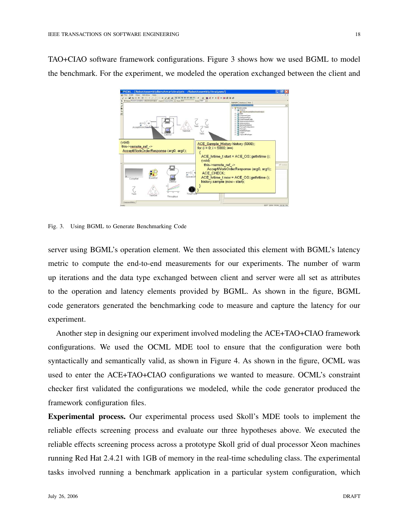TAO+CIAO software framework configurations. Figure 3 shows how we used BGML to model the benchmark. For the experiment, we modeled the operation exchanged between the client and



Fig. 3. Using BGML to Generate Benchmarking Code

server using BGML's operation element. We then associated this element with BGML's latency metric to compute the end-to-end measurements for our experiments. The number of warm up iterations and the data type exchanged between client and server were all set as attributes to the operation and latency elements provided by BGML. As shown in the figure, BGML code generators generated the benchmarking code to measure and capture the latency for our experiment.

Another step in designing our experiment involved modeling the ACE+TAO+CIAO framework configurations. We used the OCML MDE tool to ensure that the configuration were both syntactically and semantically valid, as shown in Figure 4. As shown in the figure, OCML was used to enter the ACE+TAO+CIAO configurations we wanted to measure. OCML's constraint checker first validated the configurations we modeled, while the code generator produced the framework configuration files.

**Experimental process.** Our experimental process used Skoll's MDE tools to implement the reliable effects screening process and evaluate our three hypotheses above. We executed the reliable effects screening process across a prototype Skoll grid of dual processor Xeon machines running Red Hat 2.4.21 with 1GB of memory in the real-time scheduling class. The experimental tasks involved running a benchmark application in a particular system configuration, which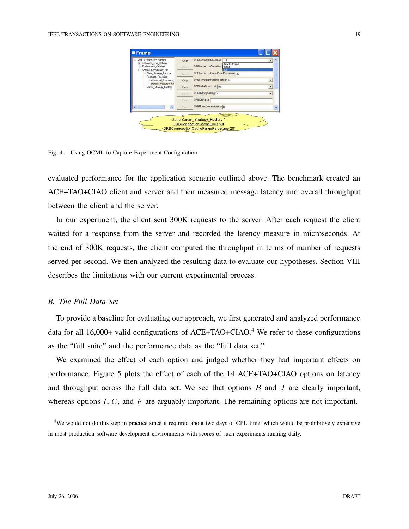| ORB_Configuration_Options<br>E Command_Line_Options<br>Environment Variables<br>Service_Configurator_File<br>由<br>Client_Strategy_Factory<br>Resource Factories<br>Advanced Resource<br>Default_Resource_Fac<br>Server Strategy Factory | Clear  | ORBConnectionCacheLock null                                    |
|-----------------------------------------------------------------------------------------------------------------------------------------------------------------------------------------------------------------------------------------|--------|----------------------------------------------------------------|
|                                                                                                                                                                                                                                         | Elean  | default - thread<br>ORBConnectionCacheMax thread               |
|                                                                                                                                                                                                                                         | Elean  | ORBConnectionCachePurgePercentage 20                           |
|                                                                                                                                                                                                                                         | Clear  | ORBConnectionPurgingStrategy   Ifu<br>$\overline{\phantom{a}}$ |
|                                                                                                                                                                                                                                         | Clear  | ORBCorbaObjectLock null<br>$\overline{\phantom{0}}$            |
|                                                                                                                                                                                                                                         | Clear. | ORBFlushingStrategy .<br>$\overline{\phantom{a}}$              |
|                                                                                                                                                                                                                                         | Elear. | <b>ORBIORParser</b>                                            |
| ×<br>нm                                                                                                                                                                                                                                 | Clear  | ORBMuxedConnectionMax n                                        |

Fig. 4. Using OCML to Capture Experiment Configuration

evaluated performance for the application scenario outlined above. The benchmark created an ACE+TAO+CIAO client and server and then measured message latency and overall throughput between the client and the server.

In our experiment, the client sent 300K requests to the server. After each request the client waited for a response from the server and recorded the latency measure in microseconds. At the end of 300K requests, the client computed the throughput in terms of number of requests served per second. We then analyzed the resulting data to evaluate our hypotheses. Section VIII describes the limitations with our current experimental process.

## *B. The Full Data Set*

To provide a baseline for evaluating our approach, we first generated and analyzed performance data for all  $16,000+$  valid configurations of ACE+TAO+CIAO.<sup>4</sup> We refer to these configurations as the "full suite" and the performance data as the "full data set."

We examined the effect of each option and judged whether they had important effects on performance. Figure 5 plots the effect of each of the 14 ACE+TAO+CIAO options on latency and throughput across the full data set. We see that options  $B$  and  $J$  are clearly important, whereas options  $I, C$ , and  $F$  are arguably important. The remaining options are not important.

<sup>4</sup>We would not do this step in practice since it required about two days of CPU time, which would be prohibitively expensive in most production software development environments with scores of such experiments running daily.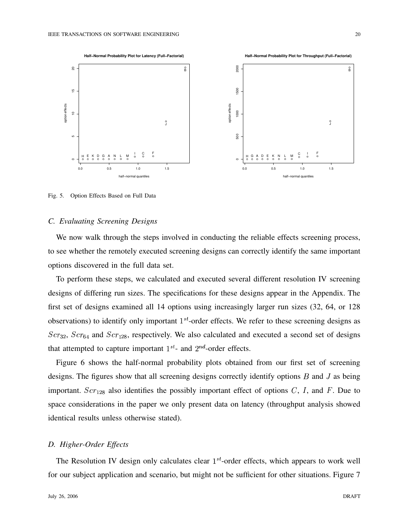

Fig. 5. Option Effects Based on Full Data

## *C. Evaluating Screening Designs*

We now walk through the steps involved in conducting the reliable effects screening process, to see whether the remotely executed screening designs can correctly identify the same important options discovered in the full data set.

To perform these steps, we calculated and executed several different resolution IV screening designs of differing run sizes. The specifications for these designs appear in the Appendix. The first set of designs examined all 14 options using increasingly larger run sizes (32, 64, or 128 observations) to identify only important  $1^{st}$ -order effects. We refer to these screening designs as  $Scr_{32}$ ,  $Scr_{64}$  and  $Scr_{128}$ , respectively. We also calculated and executed a second set of designs that attempted to capture important  $1^{st}$ - and  $2^{nd}$ -order effects.

Figure 6 shows the half-normal probability plots obtained from our first set of screening designs. The figures show that all screening designs correctly identify options  $B$  and  $J$  as being important.  $Scr_{128}$  also identifies the possibly important effect of options C, I, and F. Due to space considerations in the paper we only present data on latency (throughput analysis showed identical results unless otherwise stated).

## *D. Higher-Order Effects*

The Resolution IV design only calculates clear  $1<sup>st</sup>$ -order effects, which appears to work well for our subject application and scenario, but might not be sufficient for other situations. Figure 7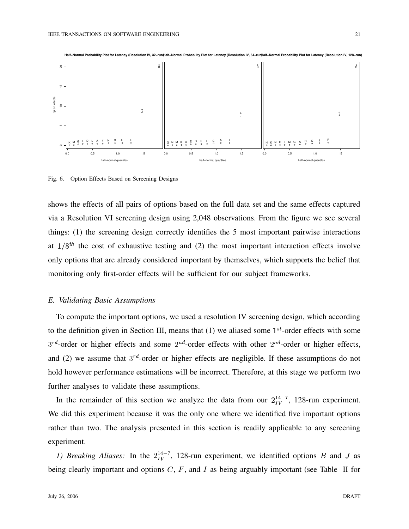



Fig. 6. Option Effects Based on Screening Designs

shows the effects of all pairs of options based on the full data set and the same effects captured via a Resolution VI screening design using 2,048 observations. From the figure we see several things: (1) the screening design correctly identifies the 5 most important pairwise interactions at  $1/8$ <sup>th</sup> the cost of exhaustive testing and (2) the most important interaction effects involve only options that are already considered important by themselves, which supports the belief that monitoring only first-order effects will be sufficient for our subject frameworks.

#### *E. Validating Basic Assumptions*

To compute the important options, we used a resolution IV screening design, which according to the definition given in Section III, means that  $(1)$  we aliased some  $1<sup>st</sup>$ -order effects with some  $3^{rd}$ -order or higher effects and some  $2^{nd}$ -order effects with other  $2^{nd}$ -order or higher effects, and (2) we assume that  $3^{rd}$ -order or higher effects are negligible. If these assumptions do not hold however performance estimations will be incorrect. Therefore, at this stage we perform two further analyses to validate these assumptions.

In the remainder of this section we analyze the data from our  $2^{14-7}_{IV}$ , 128-run experiment. We did this experiment because it was the only one where we identified five important options rather than two. The analysis presented in this section is readily applicable to any screening experiment.

*1) Breaking Aliases:* In the  $2^{14-7}_{IV}$ , 128-run experiment, we identified options B and J as being clearly important and options  $C, F$ , and  $I$  as being arguably important (see Table II for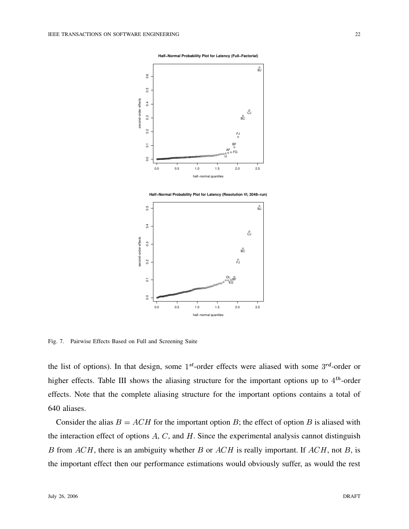**Half−Normal Probability Plot for Latency (Full−Factorial)**



**Half−Normal Probability Plot for Latency (Resolution VI, 2048−run)**



Fig. 7. Pairwise Effects Based on Full and Screening Suite

the list of options). In that design, some  $1^{st}$ -order effects were aliased with some  $3^{rd}$ -order or higher effects. Table III shows the aliasing structure for the important options up to  $4^{th}$ -order effects. Note that the complete aliasing structure for the important options contains a total of 640 aliases.

Consider the alias  $B = ACH$  for the important option B; the effect of option B is aliased with the interaction effect of options  $A, C$ , and  $H$ . Since the experimental analysis cannot distinguish B from  $ACH$ , there is an ambiguity whether B or  $ACH$  is really important. If  $ACH$ , not B, is the important effect then our performance estimations would obviously suffer, as would the rest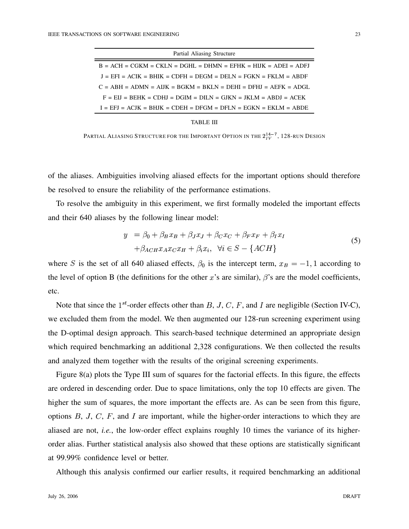| Partial Aliasing Structure                                        |  |  |  |  |
|-------------------------------------------------------------------|--|--|--|--|
| $B = ACH = CGKM = CKLN = DGHL = DHMN = EFHK = HUK = ADEI = ADFJ$  |  |  |  |  |
| $J = EFI = ACIK = BHIK = CDFH = DEGM = DELN = FGKN = FKIM = ABDF$ |  |  |  |  |
| $C = ABH = ADMN = AIJK = BGKM = BKLN = DEHI = DFHI = AEFK = ADGL$ |  |  |  |  |
| $F = EI = BEHK = CDHJ = DGIM = DILN = GJKN = JKLM = ABDJ = ACEK$  |  |  |  |  |
| $I = EFJ = ACJK = BHJK = CDEH = DFGM = DFLN = EGKN = EKLM = ABDE$ |  |  |  |  |

TABLE III

PARTIAL ALIASING STRUCTURE FOR THE IMPORTANT OPTION IN THE  $2^{14-7}_{IV}$ , 128-RUN DESIGN

of the aliases. Ambiguities involving aliased effects for the important options should therefore be resolved to ensure the reliability of the performance estimations.

To resolve the ambiguity in this experiment, we first formally modeled the important effects and their 640 aliases by the following linear model:

$$
y = \beta_0 + \beta_B x_B + \beta_J x_J + \beta_C x_C + \beta_F x_F + \beta_I x_I
$$
  
+  $\beta_{ACH} x_A x_C x_H + \beta_i x_i$ ,  $\forall i \in S - \{ACH\}$  (5)

where S is the set of all 640 aliased effects,  $\beta_0$  is the intercept term,  $x_B = -1, 1$  according to the level of option B (the definitions for the other x's are similar),  $\beta$ 's are the model coefficients, etc.

Note that since the  $1^{st}$ -order effects other than B, J, C, F, and I are negligible (Section IV-C), we excluded them from the model. We then augmented our 128-run screening experiment using the D-optimal design approach. This search-based technique determined an appropriate design which required benchmarking an additional 2,328 configurations. We then collected the results and analyzed them together with the results of the original screening experiments.

Figure 8(a) plots the Type III sum of squares for the factorial effects. In this figure, the effects are ordered in descending order. Due to space limitations, only the top 10 effects are given. The higher the sum of squares, the more important the effects are. As can be seen from this figure, options  $B, J, C, F$ , and I are important, while the higher-order interactions to which they are aliased are not, *i.e.*, the low-order effect explains roughly 10 times the variance of its higherorder alias. Further statistical analysis also showed that these options are statistically significant at 99.99% confidence level or better.

Although this analysis confirmed our earlier results, it required benchmarking an additional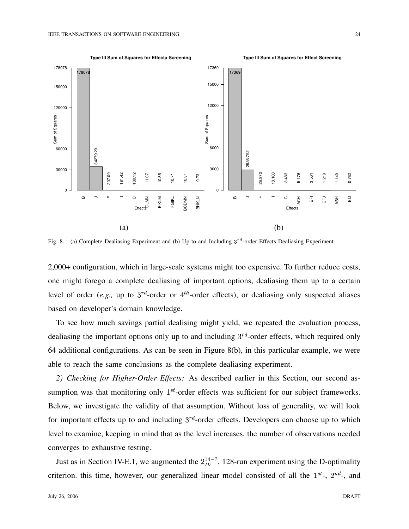

Fig. 8. (a) Complete Dealiasing Experiment and (b) Up to and Including  $3^{rd}$ -order Effects Dealiasing Experiment.

2,000+ configuration, which in large-scale systems might too expensive. To further reduce costs, one might forego a complete dealiasing of important options, dealiasing them up to a certain level of order (*e.g.*, up to  $3^{rd}$ -order or  $4^{th}$ -order effects), or dealiasing only suspected aliases based on developer's domain knowledge.

To see how much savings partial dealising might yield, we repeated the evaluation process, dealiasing the important options only up to and including  $3^{rd}$ -order effects, which required only 64 additional configurations. As can be seen in Figure 8(b), in this particular example, we were able to reach the same conclusions as the complete dealiasing experiment.

*2) Checking for Higher-Order Effects:* As described earlier in this Section, our second assumption was that monitoring only  $1^{st}$ -order effects was sufficient for our subject frameworks. Below, we investigate the validity of that assumption. Without loss of generality, we will look for important effects up to and including  $3^{rd}$ -order effects. Developers can choose up to which level to examine, keeping in mind that as the level increases, the number of observations needed converges to exhaustive testing.

Just as in Section IV-E.1, we augmented the  $2^{14-7}_{IV}$ , 128-run experiment using the D-optimality criterion. this time, however, our generalized linear model consisted of all the  $1^{st}$ -,  $2^{nd}$ -, and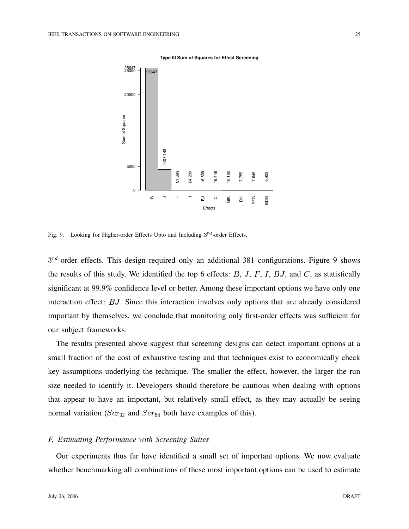



Fig. 9. Looking for Higher-order Effects Upto and Including  $3^{rd}$ -order Effects.

 $3^{rd}$ -order effects. This design required only an additional 381 configurations. Figure 9 shows the results of this study. We identified the top 6 effects:  $B, J, F, I, BJ$ , and  $C$ , as statistically significant at 99.9% confidence level or better. Among these important options we have only one interaction effect: BJ. Since this interaction involves only options that are already considered important by themselves, we conclude that monitoring only first-order effects was sufficient for our subject frameworks.

The results presented above suggest that screening designs can detect important options at a small fraction of the cost of exhaustive testing and that techniques exist to economically check key assumptions underlying the technique. The smaller the effect, however, the larger the run size needed to identify it. Developers should therefore be cautious when dealing with options that appear to have an important, but relatively small effect, as they may actually be seeing normal variation ( $Scr_{32}$  and  $Scr_{64}$  both have examples of this).

## *F. Estimating Performance with Screening Suites*

Our experiments thus far have identified a small set of important options. We now evaluate whether benchmarking all combinations of these most important options can be used to estimate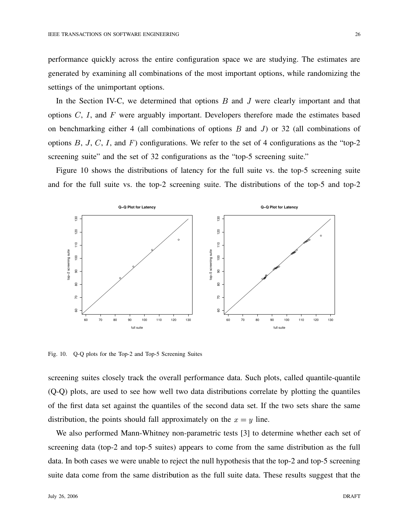performance quickly across the entire configuration space we are studying. The estimates are generated by examining all combinations of the most important options, while randomizing the settings of the unimportant options.

In the Section IV-C, we determined that options  $B$  and  $J$  were clearly important and that options  $C$ ,  $I$ , and  $F$  were arguably important. Developers therefore made the estimates based on benchmarking either 4 (all combinations of options  $B$  and  $J$ ) or 32 (all combinations of options  $B, J, C, I$ , and  $F$ ) configurations. We refer to the set of 4 configurations as the "top-2 screening suite" and the set of 32 configurations as the "top-5 screening suite."

Figure 10 shows the distributions of latency for the full suite vs. the top-5 screening suite and for the full suite vs. the top-2 screening suite. The distributions of the top-5 and top-2



Fig. 10. Q-Q plots for the Top-2 and Top-5 Screening Suites

screening suites closely track the overall performance data. Such plots, called quantile-quantile (Q-Q) plots, are used to see how well two data distributions correlate by plotting the quantiles of the first data set against the quantiles of the second data set. If the two sets share the same distribution, the points should fall approximately on the  $x = y$  line.

We also performed Mann-Whitney non-parametric tests [3] to determine whether each set of screening data (top-2 and top-5 suites) appears to come from the same distribution as the full data. In both cases we were unable to reject the null hypothesis that the top-2 and top-5 screening suite data come from the same distribution as the full suite data. These results suggest that the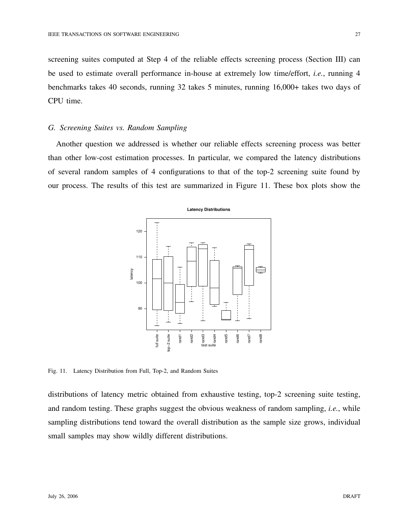screening suites computed at Step 4 of the reliable effects screening process (Section III) can be used to estimate overall performance in-house at extremely low time/effort, *i.e.*, running 4 benchmarks takes 40 seconds, running 32 takes 5 minutes, running 16,000+ takes two days of CPU time.

## *G. Screening Suites vs. Random Sampling*

Another question we addressed is whether our reliable effects screening process was better than other low-cost estimation processes. In particular, we compared the latency distributions of several random samples of 4 configurations to that of the top-2 screening suite found by our process. The results of this test are summarized in Figure 11. These box plots show the



Fig. 11. Latency Distribution from Full, Top-2, and Random Suites

distributions of latency metric obtained from exhaustive testing, top-2 screening suite testing, and random testing. These graphs suggest the obvious weakness of random sampling, *i.e.*, while sampling distributions tend toward the overall distribution as the sample size grows, individual small samples may show wildly different distributions.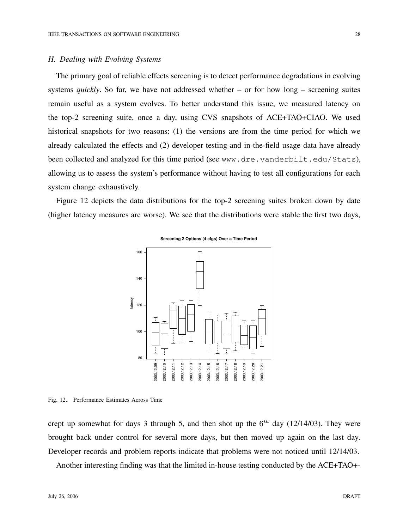#### *H. Dealing with Evolving Systems*

The primary goal of reliable effects screening is to detect performance degradations in evolving systems *quickly*. So far, we have not addressed whether – or for how long – screening suites remain useful as a system evolves. To better understand this issue, we measured latency on the top-2 screening suite, once a day, using CVS snapshots of ACE+TAO+CIAO. We used historical snapshots for two reasons: (1) the versions are from the time period for which we already calculated the effects and (2) developer testing and in-the-field usage data have already been collected and analyzed for this time period (see www.dre.vanderbilt.edu/Stats), allowing us to assess the system's performance without having to test all configurations for each system change exhaustively.

Figure 12 depicts the data distributions for the top-2 screening suites broken down by date (higher latency measures are worse). We see that the distributions were stable the first two days,



**Screening 2 Options (4 cfgs) Over a Time Period**

Fig. 12. Performance Estimates Across Time

crept up somewhat for days 3 through 5, and then shot up the  $6<sup>th</sup>$  day (12/14/03). They were brought back under control for several more days, but then moved up again on the last day. Developer records and problem reports indicate that problems were not noticed until 12/14/03.

Another interesting finding was that the limited in-house testing conducted by the ACE+TAO+-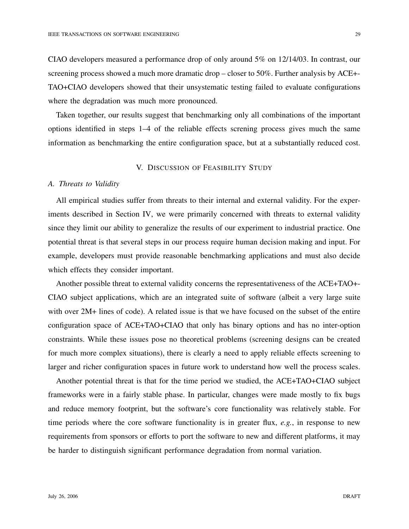CIAO developers measured a performance drop of only around 5% on 12/14/03. In contrast, our screening process showed a much more dramatic drop – closer to 50%. Further analysis by ACE+- TAO+CIAO developers showed that their unsystematic testing failed to evaluate configurations where the degradation was much more pronounced.

Taken together, our results suggest that benchmarking only all combinations of the important options identified in steps 1–4 of the reliable effects screning process gives much the same information as benchmarking the entire configuration space, but at a substantially reduced cost.

## V. DISCUSSION OF FEASIBILITY STUDY

#### *A. Threats to Validity*

All empirical studies suffer from threats to their internal and external validity. For the experiments described in Section IV, we were primarily concerned with threats to external validity since they limit our ability to generalize the results of our experiment to industrial practice. One potential threat is that several steps in our process require human decision making and input. For example, developers must provide reasonable benchmarking applications and must also decide which effects they consider important.

Another possible threat to external validity concerns the representativeness of the ACE+TAO+- CIAO subject applications, which are an integrated suite of software (albeit a very large suite with over  $2M+$  lines of code). A related issue is that we have focused on the subset of the entire configuration space of ACE+TAO+CIAO that only has binary options and has no inter-option constraints. While these issues pose no theoretical problems (screening designs can be created for much more complex situations), there is clearly a need to apply reliable effects screening to larger and richer configuration spaces in future work to understand how well the process scales.

Another potential threat is that for the time period we studied, the ACE+TAO+CIAO subject frameworks were in a fairly stable phase. In particular, changes were made mostly to fix bugs and reduce memory footprint, but the software's core functionality was relatively stable. For time periods where the core software functionality is in greater flux, *e.g.*, in response to new requirements from sponsors or efforts to port the software to new and different platforms, it may be harder to distinguish significant performance degradation from normal variation.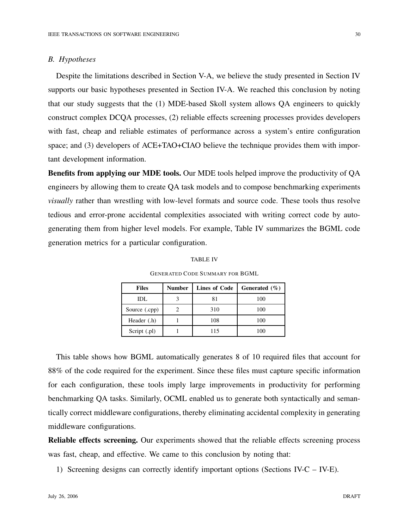#### *B. Hypotheses*

Despite the limitations described in Section V-A, we believe the study presented in Section IV supports our basic hypotheses presented in Section IV-A. We reached this conclusion by noting that our study suggests that the (1) MDE-based Skoll system allows QA engineers to quickly construct complex DCQA processes, (2) reliable effects screening processes provides developers with fast, cheap and reliable estimates of performance across a system's entire configuration space; and (3) developers of ACE+TAO+CIAO believe the technique provides them with important development information.

**Benefits from applying our MDE tools.** Our MDE tools helped improve the productivity of QA engineers by allowing them to create QA task models and to compose benchmarking experiments *visually* rather than wrestling with low-level formats and source code. These tools thus resolve tedious and error-prone accidental complexities associated with writing correct code by autogenerating them from higher level models. For example, Table IV summarizes the BGML code generation metrics for a particular configuration.

| <b>Files</b>  | <b>Number</b> | <b>Lines of Code</b> | Generated $(\% )$ |
|---------------|---------------|----------------------|-------------------|
| IDL           |               | 81                   | 100               |
| Source (.cpp) |               | 310                  | 100               |
| Header (.h)   |               | 108                  | 100               |
| Script (.pl)  |               | 115                  | 100               |

GENERATED CODE SUMMARY FOR BGML

This table shows how BGML automatically generates 8 of 10 required files that account for 88% of the code required for the experiment. Since these files must capture specific information for each configuration, these tools imply large improvements in productivity for performing benchmarking QA tasks. Similarly, OCML enabled us to generate both syntactically and semantically correct middleware configurations, thereby eliminating accidental complexity in generating middleware configurations.

**Reliable effects screening.** Our experiments showed that the reliable effects screening process was fast, cheap, and effective. We came to this conclusion by noting that:

1) Screening designs can correctly identify important options (Sections IV-C – IV-E).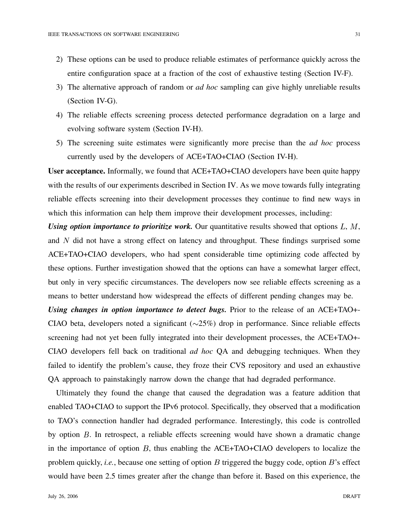- 2) These options can be used to produce reliable estimates of performance quickly across the entire configuration space at a fraction of the cost of exhaustive testing (Section IV-F).
- 3) The alternative approach of random or *ad hoc* sampling can give highly unreliable results (Section IV-G).
- 4) The reliable effects screening process detected performance degradation on a large and evolving software system (Section IV-H).
- 5) The screening suite estimates were significantly more precise than the *ad hoc* process currently used by the developers of ACE+TAO+CIAO (Section IV-H).

**User acceptance.** Informally, we found that ACE+TAO+CIAO developers have been quite happy with the results of our experiments described in Section IV. As we move towards fully integrating reliable effects screening into their development processes they continue to find new ways in which this information can help them improve their development processes, including:

*Using option importance to prioritize work.* Our quantitative results showed that options  $L, M$ , and  $N$  did not have a strong effect on latency and throughput. These findings surprised some ACE+TAO+CIAO developers, who had spent considerable time optimizing code affected by these options. Further investigation showed that the options can have a somewhat larger effect, but only in very specific circumstances. The developers now see reliable effects screening as a means to better understand how widespread the effects of different pending changes may be.

*Using changes in option importance to detect bugs.* Prior to the release of an ACE+TAO+- CIAO beta, developers noted a significant  $(\sim 25\%)$  drop in performance. Since reliable effects screening had not yet been fully integrated into their development processes, the ACE+TAO+- CIAO developers fell back on traditional *ad hoc* QA and debugging techniques. When they failed to identify the problem's cause, they froze their CVS repository and used an exhaustive QA approach to painstakingly narrow down the change that had degraded performance.

Ultimately they found the change that caused the degradation was a feature addition that enabled TAO+CIAO to support the IPv6 protocol. Specifically, they observed that a modification to TAO's connection handler had degraded performance. Interestingly, this code is controlled by option  $B$ . In retrospect, a reliable effects screening would have shown a dramatic change in the importance of option  $B$ , thus enabling the ACE+TAO+CIAO developers to localize the problem quickly, *i.e.*, because one setting of option  $B$  triggered the buggy code, option  $B$ 's effect would have been 2.5 times greater after the change than before it. Based on this experience, the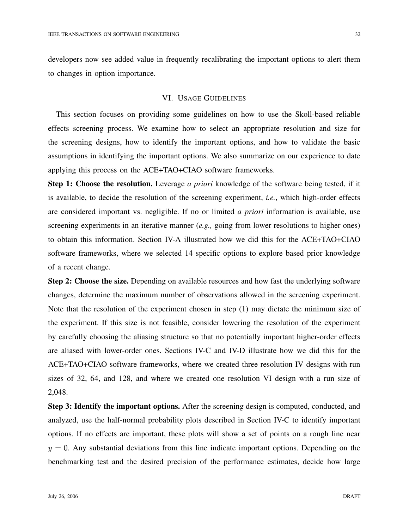developers now see added value in frequently recalibrating the important options to alert them to changes in option importance.

### VI. USAGE GUIDELINES

This section focuses on providing some guidelines on how to use the Skoll-based reliable effects screening process. We examine how to select an appropriate resolution and size for the screening designs, how to identify the important options, and how to validate the basic assumptions in identifying the important options. We also summarize on our experience to date applying this process on the ACE+TAO+CIAO software frameworks.

**Step 1: Choose the resolution.** Leverage *a priori* knowledge of the software being tested, if it is available, to decide the resolution of the screening experiment, *i.e.*, which high-order effects are considered important vs. negligible. If no or limited *a priori* information is available, use screening experiments in an iterative manner (*e.g.,* going from lower resolutions to higher ones) to obtain this information. Section IV-A illustrated how we did this for the ACE+TAO+CIAO software frameworks, where we selected 14 specific options to explore based prior knowledge of a recent change.

**Step 2: Choose the size.** Depending on available resources and how fast the underlying software changes, determine the maximum number of observations allowed in the screening experiment. Note that the resolution of the experiment chosen in step (1) may dictate the minimum size of the experiment. If this size is not feasible, consider lowering the resolution of the experiment by carefully choosing the aliasing structure so that no potentially important higher-order effects are aliased with lower-order ones. Sections IV-C and IV-D illustrate how we did this for the ACE+TAO+CIAO software frameworks, where we created three resolution IV designs with run sizes of 32, 64, and 128, and where we created one resolution VI design with a run size of 2,048.

**Step 3: Identify the important options.** After the screening design is computed, conducted, and analyzed, use the half-normal probability plots described in Section IV-C to identify important options. If no effects are important, these plots will show a set of points on a rough line near  $y = 0$ . Any substantial deviations from this line indicate important options. Depending on the benchmarking test and the desired precision of the performance estimates, decide how large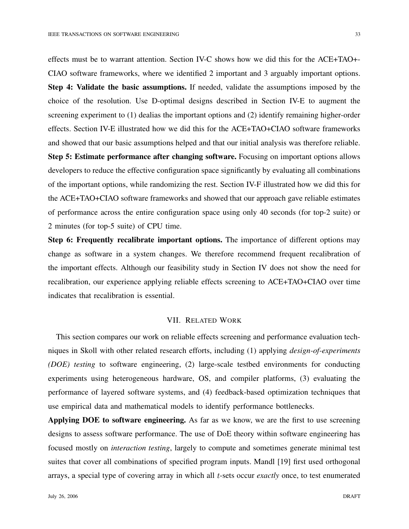effects must be to warrant attention. Section IV-C shows how we did this for the ACE+TAO+- CIAO software frameworks, where we identified 2 important and 3 arguably important options. **Step 4: Validate the basic assumptions.** If needed, validate the assumptions imposed by the choice of the resolution. Use D-optimal designs described in Section IV-E to augment the screening experiment to (1) dealias the important options and (2) identify remaining higher-order effects. Section IV-E illustrated how we did this for the ACE+TAO+CIAO software frameworks and showed that our basic assumptions helped and that our initial analysis was therefore reliable. **Step 5: Estimate performance after changing software.** Focusing on important options allows developers to reduce the effective configuration space significantly by evaluating all combinations of the important options, while randomizing the rest. Section IV-F illustrated how we did this for the ACE+TAO+CIAO software frameworks and showed that our approach gave reliable estimates of performance across the entire configuration space using only 40 seconds (for top-2 suite) or

2 minutes (for top-5 suite) of CPU time.

**Step 6: Frequently recalibrate important options.** The importance of different options may change as software in a system changes. We therefore recommend frequent recalibration of the important effects. Although our feasibility study in Section IV does not show the need for recalibration, our experience applying reliable effects screening to ACE+TAO+CIAO over time indicates that recalibration is essential.

## VII. RELATED WORK

This section compares our work on reliable effects screening and performance evaluation techniques in Skoll with other related research efforts, including (1) applying *design-of-experiments (DOE) testing* to software engineering, (2) large-scale testbed environments for conducting experiments using heterogeneous hardware, OS, and compiler platforms, (3) evaluating the performance of layered software systems, and (4) feedback-based optimization techniques that use empirical data and mathematical models to identify performance bottlenecks.

**Applying DOE to software engineering.** As far as we know, we are the first to use screening designs to assess software performance. The use of DoE theory within software engineering has focused mostly on *interaction testing*, largely to compute and sometimes generate minimal test suites that cover all combinations of specified program inputs. Mandl [19] first used orthogonal arrays, a special type of covering array in which all t-sets occur *exactly* once, to test enumerated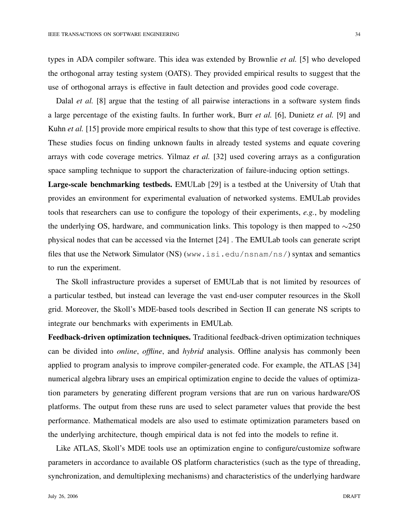types in ADA compiler software. This idea was extended by Brownlie *et al.* [5] who developed the orthogonal array testing system (OATS). They provided empirical results to suggest that the use of orthogonal arrays is effective in fault detection and provides good code coverage.

Dalal *et al.* [8] argue that the testing of all pairwise interactions in a software system finds a large percentage of the existing faults. In further work, Burr *et al.* [6], Dunietz *et al.* [9] and Kuhn *et al.* [15] provide more empirical results to show that this type of test coverage is effective. These studies focus on finding unknown faults in already tested systems and equate covering arrays with code coverage metrics. Yilmaz *et al.* [32] used covering arrays as a configuration space sampling technique to support the characterization of failure-inducing option settings.

**Large-scale benchmarking testbeds.** EMULab [29] is a testbed at the University of Utah that provides an environment for experimental evaluation of networked systems. EMULab provides tools that researchers can use to configure the topology of their experiments, *e.g.*, by modeling the underlying OS, hardware, and communication links. This topology is then mapped to  $\sim$ 250 physical nodes that can be accessed via the Internet [24] . The EMULab tools can generate script files that use the Network Simulator (NS) (www.isi.edu/nsnam/ns/) syntax and semantics to run the experiment.

The Skoll infrastructure provides a superset of EMULab that is not limited by resources of a particular testbed, but instead can leverage the vast end-user computer resources in the Skoll grid. Moreover, the Skoll's MDE-based tools described in Section II can generate NS scripts to integrate our benchmarks with experiments in EMULab.

**Feedback-driven optimization techniques.** Traditional feedback-driven optimization techniques can be divided into *online*, *offline*, and *hybrid* analysis. Offline analysis has commonly been applied to program analysis to improve compiler-generated code. For example, the ATLAS [34] numerical algebra library uses an empirical optimization engine to decide the values of optimization parameters by generating different program versions that are run on various hardware/OS platforms. The output from these runs are used to select parameter values that provide the best performance. Mathematical models are also used to estimate optimization parameters based on the underlying architecture, though empirical data is not fed into the models to refine it.

Like ATLAS, Skoll's MDE tools use an optimization engine to configure/customize software parameters in accordance to available OS platform characteristics (such as the type of threading, synchronization, and demultiplexing mechanisms) and characteristics of the underlying hardware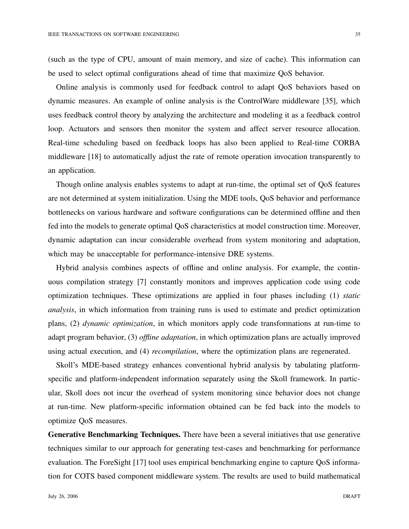(such as the type of CPU, amount of main memory, and size of cache). This information can be used to select optimal configurations ahead of time that maximize QoS behavior.

Online analysis is commonly used for feedback control to adapt QoS behaviors based on dynamic measures. An example of online analysis is the ControlWare middleware [35], which uses feedback control theory by analyzing the architecture and modeling it as a feedback control loop. Actuators and sensors then monitor the system and affect server resource allocation. Real-time scheduling based on feedback loops has also been applied to Real-time CORBA middleware [18] to automatically adjust the rate of remote operation invocation transparently to an application.

Though online analysis enables systems to adapt at run-time, the optimal set of QoS features are not determined at system initialization. Using the MDE tools, QoS behavior and performance bottlenecks on various hardware and software configurations can be determined offline and then fed into the models to generate optimal QoS characteristics at model construction time. Moreover, dynamic adaptation can incur considerable overhead from system monitoring and adaptation, which may be unacceptable for performance-intensive DRE systems.

Hybrid analysis combines aspects of offline and online analysis. For example, the continuous compilation strategy [7] constantly monitors and improves application code using code optimization techniques. These optimizations are applied in four phases including (1) *static analysis*, in which information from training runs is used to estimate and predict optimization plans, (2) *dynamic optimization*, in which monitors apply code transformations at run-time to adapt program behavior, (3) *offline adaptation*, in which optimization plans are actually improved using actual execution, and (4) *recompilation*, where the optimization plans are regenerated.

Skoll's MDE-based strategy enhances conventional hybrid analysis by tabulating platformspecific and platform-independent information separately using the Skoll framework. In particular, Skoll does not incur the overhead of system monitoring since behavior does not change at run-time. New platform-specific information obtained can be fed back into the models to optimize QoS measures.

**Generative Benchmarking Techniques.** There have been a several initiatives that use generative techniques similar to our approach for generating test-cases and benchmarking for performance evaluation. The ForeSight [17] tool uses empirical benchmarking engine to capture QoS information for COTS based component middleware system. The results are used to build mathematical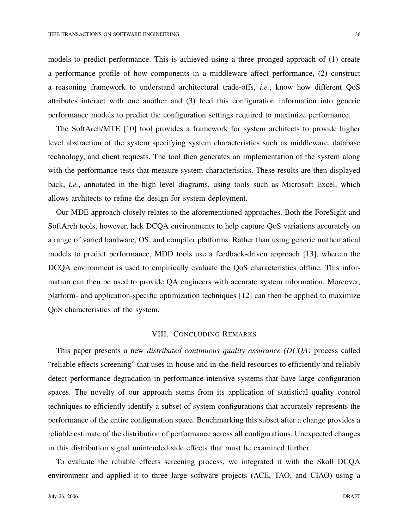models to predict performance. This is achieved using a three pronged approach of (1) create a performance profile of how components in a middleware affect performance, (2) construct a reasoning framework to understand architectural trade-offs, *i.e.*, know how different QoS attributes interact with one another and (3) feed this configuration information into generic

The SoftArch/MTE [10] tool provides a framework for system architects to provide higher level abstraction of the system specifying system characteristics such as middleware, database technology, and client requests. The tool then generates an implementation of the system along with the performance tests that measure system characteristics. These results are then displayed back, *i.e.*, annotated in the high level diagrams, using tools such as Microsoft Excel, which allows architects to refine the design for system deployment.

performance models to predict the configuration settings required to maximize performance.

Our MDE approach closely relates to the aforementioned approaches. Both the ForeSight and SoftArch tools, however, lack DCQA environments to help capture QoS variations accurately on a range of varied hardware, OS, and compiler platforms. Rather than using generic mathematical models to predict performance, MDD tools use a feedback-driven approach [13], wherein the DCQA environment is used to empirically evaluate the QoS characteristics offline. This information can then be used to provide QA engineers with accurate system information. Moreover, platform- and application-specific optimization techniques [12] can then be applied to maximize QoS characteristics of the system.

## VIII. CONCLUDING REMARKS

This paper presents a new *distributed continuous quality assurance (DCQA)* process called "reliable effects screening" that uses in-house and in-the-field resources to efficiently and reliably detect performance degradation in performance-intensive systems that have large configuration spaces. The novelty of our approach stems from its application of statistical quality control techniques to efficiently identify a subset of system configurations that accurately represents the performance of the entire configuration space. Benchmarking this subset after a change provides a reliable estimate of the distribution of performance across all configurations. Unexpected changes in this distribution signal unintended side effects that must be examined further.

To evaluate the reliable effects screening process, we integrated it with the Skoll DCQA environment and applied it to three large software projects (ACE, TAO, and CIAO) using a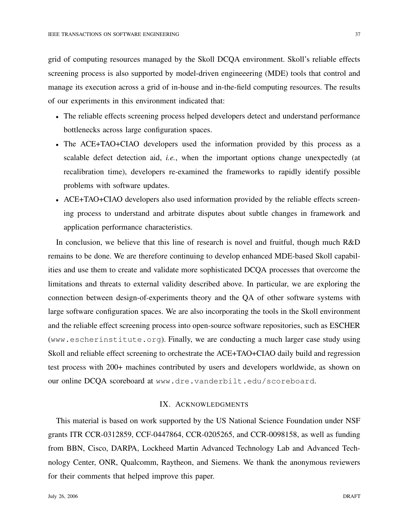grid of computing resources managed by the Skoll DCQA environment. Skoll's reliable effects screening process is also supported by model-driven engineeering (MDE) tools that control and manage its execution across a grid of in-house and in-the-field computing resources. The results of our experiments in this environment indicated that:

- The reliable effects screening process helped developers detect and understand performance bottlenecks across large configuration spaces.
- The ACE+TAO+CIAO developers used the information provided by this process as a scalable defect detection aid, *i.e.*, when the important options change unexpectedly (at recalibration time), developers re-examined the frameworks to rapidly identify possible problems with software updates.
- ACE+TAO+CIAO developers also used information provided by the reliable effects screening process to understand and arbitrate disputes about subtle changes in framework and application performance characteristics.

In conclusion, we believe that this line of research is novel and fruitful, though much R&D remains to be done. We are therefore continuing to develop enhanced MDE-based Skoll capabilities and use them to create and validate more sophisticated DCQA processes that overcome the limitations and threats to external validity described above. In particular, we are exploring the connection between design-of-experiments theory and the QA of other software systems with large software configuration spaces. We are also incorporating the tools in the Skoll environment and the reliable effect screening process into open-source software repositories, such as ESCHER (www.escherinstitute.org). Finally, we are conducting a much larger case study using Skoll and reliable effect screening to orchestrate the ACE+TAO+CIAO daily build and regression test process with 200+ machines contributed by users and developers worldwide, as shown on our online DCQA scoreboard at www.dre.vanderbilt.edu/scoreboard.

## IX. ACKNOWLEDGMENTS

This material is based on work supported by the US National Science Foundation under NSF grants ITR CCR-0312859, CCF-0447864, CCR-0205265, and CCR-0098158, as well as funding from BBN, Cisco, DARPA, Lockheed Martin Advanced Technology Lab and Advanced Technology Center, ONR, Qualcomm, Raytheon, and Siemens. We thank the anonymous reviewers for their comments that helped improve this paper.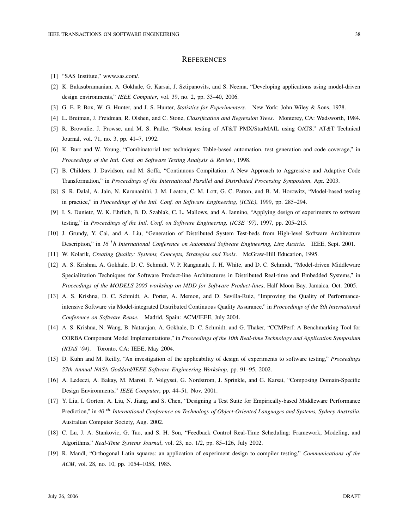#### **REFERENCES**

- [1] "SAS Institute," www.sas.com/.
- [2] K. Balasubramanian, A. Gokhale, G. Karsai, J. Sztipanovits, and S. Neema, "Developing applications using model-driven design environments," *IEEE Computer*, vol. 39, no. 2, pp. 33–40, 2006.
- [3] G. E. P. Box, W. G. Hunter, and J. S. Hunter, *Statistics for Experimenters*. New York: John Wiley & Sons, 1978.
- [4] L. Breiman, J. Freidman, R. Olshen, and C. Stone, *Classification and Regression Trees*. Monterey, CA: Wadsworth, 1984.
- [5] R. Brownlie, J. Prowse, and M. S. Padke, "Robust testing of AT&T PMX/StarMAIL using OATS," AT*&*T Technical Journal, vol. 71, no. 3, pp. 41–7, 1992.
- [6] K. Burr and W. Young, "Combinatorial test techniques: Table-based automation, test generation and code coverage," in *Proceedings of the Intl. Conf. on Software Testing Analysis & Review*, 1998.
- [7] B. Childers, J. Davidson, and M. Soffa, "Continuous Compilation: A New Approach to Aggressive and Adaptive Code Transformation," in *Proceedings of the International Parallel and Distributed Processing Symposium*, Apr. 2003.
- [8] S. R. Dalal, A. Jain, N. Karunanithi, J. M. Leaton, C. M. Lott, G. C. Patton, and B. M. Horowitz, "Model-based testing in practice," in *Proceedings of the Intl. Conf. on Software Engineering, (ICSE)*, 1999, pp. 285–294.
- [9] I. S. Dunietz, W. K. Ehrlich, B. D. Szablak, C. L. Mallows, and A. Iannino, "Applying design of experiments to software testing," in *Proceedings of the Intl. Conf. on Software Engineering, (ICSE '97)*, 1997, pp. 205–215.
- [10] J. Grundy, Y. Cai, and A. Liu, "Generation of Distributed System Test-beds from High-level Software Architecture Description," in *16<sup>th</sup> International Conference on Automated Software Engineering, Linz Austria.* IEEE, Sept. 2001.
- [11] W. Kolarik, *Creating Quality: Systems, Concepts, Strategies and Tools*. McGraw-Hill Education, 1995.
- [12] A. S. Krishna, A. Gokhale, D. C. Schmidt, V. P. Ranganath, J. H. White, and D. C. Schmidt, "Model-driven Middleware Specialization Techniques for Software Product-line Architectures in Distributed Real-time and Embedded Systems," in *Proceedings of the MODELS 2005 workshop on MDD for Software Product-lines*, Half Moon Bay, Jamaica, Oct. 2005.
- [13] A. S. Krishna, D. C. Schmidt, A. Porter, A. Memon, and D. Sevilla-Ruiz, "Improving the Quality of Performanceintensive Software via Model-integrated Distributed Continuous Quality Assurance," in *Proceedings of the 8th International Conference on Software Reuse*. Madrid, Spain: ACM/IEEE, July 2004.
- [14] A. S. Krishna, N. Wang, B. Natarajan, A. Gokhale, D. C. Schmidt, and G. Thaker, "CCMPerf: A Benchmarking Tool for CORBA Component Model Implementations," in *Proceedings of the 10th Real-time Technology and Application Symposium (RTAS '04)*. Toronto, CA: IEEE, May 2004.
- [15] D. Kuhn and M. Reilly, "An investigation of the applicability of design of experiments to software testing," *Proceedings 27th Annual NASA Goddard/IEEE Software Engineering Workshop*, pp. 91–95, 2002.
- [16] A. Ledeczi, A. Bakay, M. Maroti, P. Volgysei, G. Nordstrom, J. Sprinkle, and G. Karsai, "Composing Domain-Specific Design Environments," *IEEE Computer*, pp. 44–51, Nov. 2001.
- [17] Y. Liu, I. Gorton, A. Liu, N. Jiang, and S. Chen, "Designing a Test Suite for Empirically-based Middleware Performance Prediction," in 40<sup>th</sup> International Conference on Technology of Object-Oriented Languages and Systems, Sydney Australia. Australian Computer Society, Aug. 2002.
- [18] C. Lu, J. A. Stankovic, G. Tao, and S. H. Son, "Feedback Control Real-Time Scheduling: Framework, Modeling, and Algorithms," *Real-Time Systems Journal*, vol. 23, no. 1/2, pp. 85–126, July 2002.
- [19] R. Mandl, "Orthogonal Latin squares: an application of experiment design to compiler testing," *Communications of the ACM*, vol. 28, no. 10, pp. 1054–1058, 1985.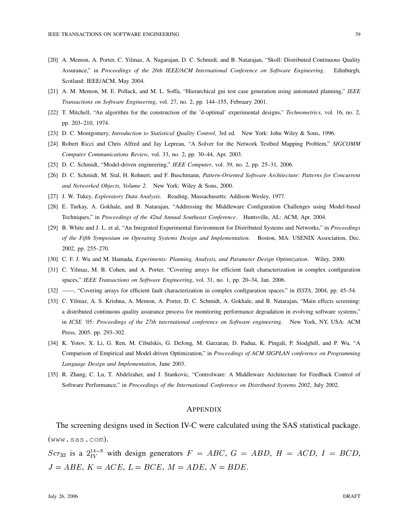- [20] A. Memon, A. Porter, C. Yilmaz, A. Nagarajan, D. C. Schmidt, and B. Natarajan, "Skoll: Distributed Continuous Quality Assurance," in *Proceedings of the 26th IEEE/ACM International Conference on Software Engineering*. Edinburgh, Scotland: IEEE/ACM, May 2004.
- [21] A. M. Memon, M. E. Pollack, and M. L. Soffa, "Hierarchical gui test case generation using automated planning," *IEEE Transactions on Software Engineering*, vol. 27, no. 2, pp. 144–155, February 2001.
- [22] T. Mitchell, "An algorithm for the construction of the 'd-optimal' experimental designs," *Technometrics*, vol. 16, no. 2, pp. 203–210, 1974.
- [23] D. C. Montgomery, *Introduction to Statistical Quality Control*, 3rd ed. New York: John Wiley & Sons, 1996.
- [24] Robert Ricci and Chris Alfred and Jay Lepreau, "A Solver for the Network Testbed Mapping Problem," *SIGCOMM Computer Communications Review*, vol. 33, no. 2, pp. 30–44, Apr. 2003.
- [25] D. C. Schmidt, "Model-driven engineering," *IEEE Computer*, vol. 39, no. 2, pp. 25–31, 2006.
- [26] D. C. Schmidt, M. Stal, H. Rohnert, and F. Buschmann, *Pattern-Oriented Software Architecture: Patterns for Concurrent and Networked Objects, Volume 2*. New York: Wiley & Sons, 2000.
- [27] J. W. Tukey, *Exploratory Data Analysis*. Reading, Massachusetts: Addison-Wesley, 1977.
- [28] E. Turkay, A. Gokhale, and B. Natarajan, "Addressing the Middleware Configuration Challenges using Model-based Techniques," in *Proceedings of the 42nd Annual Southeast Conference*. Huntsville, AL: ACM, Apr. 2004.
- [29] B. White and J. L. et al, "An Integrated Experimental Environment for Distributed Systems and Networks," in *Proceedings of the Fifth Symposium on Operating Systems Design and Implementation*. Boston, MA: USENIX Association, Dec. 2002, pp. 255–270.
- [30] C. F. J. Wu and M. Hamada, *Experiments: Planning, Analysis, and Parameter Design Optimization*. Wiley, 2000.
- [31] C. Yilmaz, M. B. Cohen, and A. Porter, "Covering arrays for efficient fault characterization in complex configuration spaces," *IEEE Transactions on Software Engineering*, vol. 31, no. 1, pp. 20–34, Jan. 2006.
- [32] ——, "Covering arrays for efficient fault characterization in complex configuration spaces." in *ISSTA*, 2004, pp. 45–54.
- [33] C. Yilmaz, A. S. Krishna, A. Memon, A. Porter, D. C. Schmidt, A. Gokhale, and B. Natarajan, "Main effects screening: a distributed continuous quality assurance process for monitoring performance degradation in evolving software systems," in *ICSE '05: Proceedings of the 27th international conference on Software engineering*. New York, NY, USA: ACM Press, 2005, pp. 293–302.
- [34] K. Yotov, X. Li, G. Ren, M. Cibulskis, G. DeJong, M. Garzaran, D. Padua, K. Pingali, P. Stodghill, and P. Wu, "A Comparison of Empirical and Model-driven Optimization," in *Proceedings of ACM SIGPLAN conference on Programming Language Design and Implementation*, June 2003.
- [35] R. Zhang, C. Lu, T. Abdelzaher, and J. Stankovic, "Controlware: A Middleware Architecture for Feedback Control of Software Performance," in *Proceedings of the International Conference on Distributed Systems 2002*, July 2002.

#### APPENDIX

The screening designs used in Section IV-C were calculated using the SAS statistical package. (www.sas.com).

 $Scr_{32}$  is a  $2^{14-9}_{IV}$  with design generators  $F = ABC$ ,  $G = ABD$ ,  $H = ACD$ ,  $I = BCD$ ,  $J = ABE, K = ACE, L = BCE, M = ADE, N = BDE.$